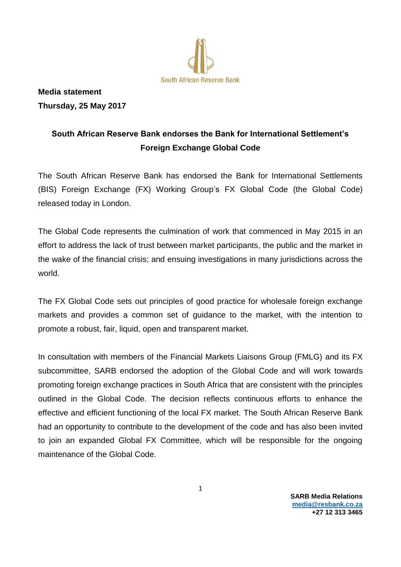

**Media statement Thursday, 25 May 2017**

## **South African Reserve Bank endorses the Bank for International Settlement's Foreign Exchange Global Code**

The South African Reserve Bank has endorsed the Bank for International Settlements (BIS) Foreign Exchange (FX) Working Group's FX Global Code (the Global Code) released today in London.

The Global Code represents the culmination of work that commenced in May 2015 in an effort to address the lack of trust between market participants, the public and the market in the wake of the financial crisis; and ensuing investigations in many jurisdictions across the world.

The FX Global Code sets out principles of good practice for wholesale foreign exchange markets and provides a common set of guidance to the market, with the intention to promote a robust, fair, liquid, open and transparent market.

In consultation with members of the Financial Markets Liaisons Group (FMLG) and its FX subcommittee, SARB endorsed the adoption of the Global Code and will work towards promoting foreign exchange practices in South Africa that are consistent with the principles outlined in the Global Code. The decision reflects continuous efforts to enhance the effective and efficient functioning of the local FX market. The South African Reserve Bank had an opportunity to contribute to the development of the code and has also been invited to join an expanded Global FX Committee, which will be responsible for the ongoing maintenance of the Global Code.